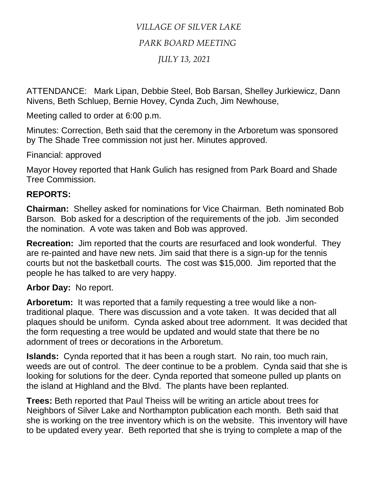## *VILLAGE OF SILVER LAKE PARK BOARD MEETING JULY 13, 2021*

ATTENDANCE: Mark Lipan, Debbie Steel, Bob Barsan, Shelley Jurkiewicz, Dann Nivens, Beth Schluep, Bernie Hovey, Cynda Zuch, Jim Newhouse,

Meeting called to order at 6:00 p.m.

Minutes: Correction, Beth said that the ceremony in the Arboretum was sponsored by The Shade Tree commission not just her. Minutes approved.

Financial: approved

Mayor Hovey reported that Hank Gulich has resigned from Park Board and Shade Tree Commission.

## **REPORTS:**

**Chairman:** Shelley asked for nominations for Vice Chairman. Beth nominated Bob Barson. Bob asked for a description of the requirements of the job. Jim seconded the nomination. A vote was taken and Bob was approved.

**Recreation:** Jim reported that the courts are resurfaced and look wonderful. They are re-painted and have new nets. Jim said that there is a sign-up for the tennis courts but not the basketball courts. The cost was \$15,000. Jim reported that the people he has talked to are very happy.

## **Arbor Day:** No report.

**Arboretum:** It was reported that a family requesting a tree would like a nontraditional plaque. There was discussion and a vote taken. It was decided that all plaques should be uniform. Cynda asked about tree adornment. It was decided that the form requesting a tree would be updated and would state that there be no adornment of trees or decorations in the Arboretum.

**Islands:** Cynda reported that it has been a rough start. No rain, too much rain, weeds are out of control. The deer continue to be a problem. Cynda said that she is looking for solutions for the deer. Cynda reported that someone pulled up plants on the island at Highland and the Blvd. The plants have been replanted.

**Trees:** Beth reported that Paul Theiss will be writing an article about trees for Neighbors of Silver Lake and Northampton publication each month. Beth said that she is working on the tree inventory which is on the website. This inventory will have to be updated every year. Beth reported that she is trying to complete a map of the